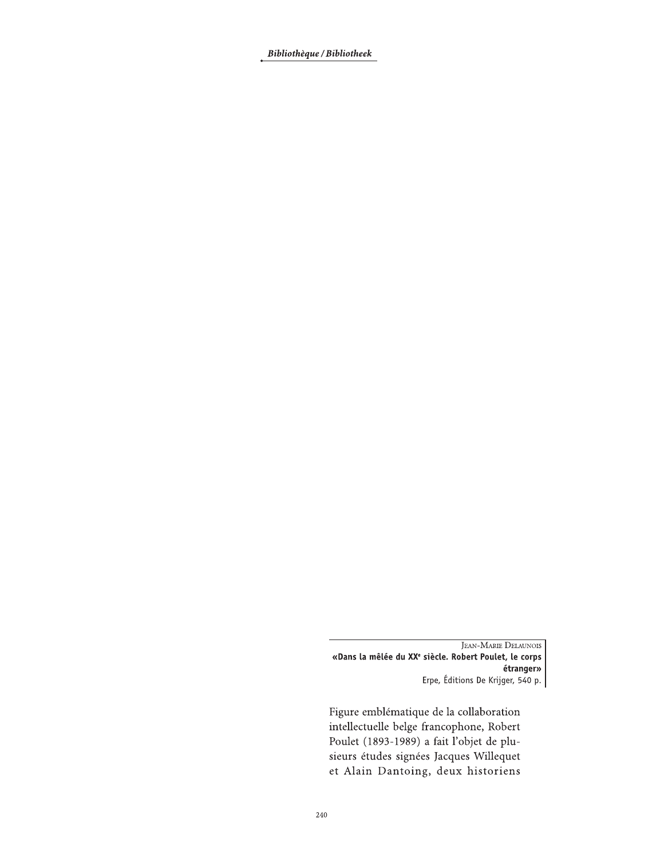Bibliothèque / Bibliotheek

**JEAN-MARIE DELAUNOIS** «Dans la mêlée du XX<sup>e</sup> siècle. Robert Poulet, le corps étranger» Erpe, Éditions De Krijger, 540 p.

Figure emblématique de la collaboration intellectuelle belge francophone, Robert Poulet (1893-1989) a fait l'objet de plusieurs études signées Jacques Willequet et Alain Dantoing, deux historiens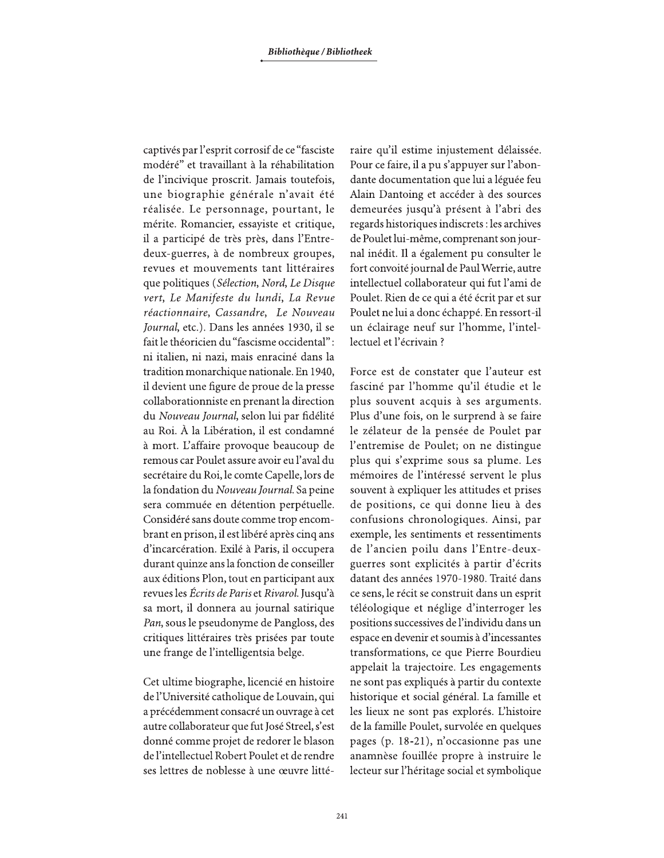captivés par l'esprit corrosif de ce "fasciste" modéré" et travaillant à la réhabilitation de l'incivique proscrit. Jamais toutefois, une biographie générale n'avait été réalisée. Le personnage, pourtant, le mérite. Romancier, essayiste et critique, il a participé de très près, dans l'Entredeux-guerres, à de nombreux groupes, revues et mouvements tant littéraires que politiques (Sélection, Nord, Le Disque vert, Le Manifeste du lundi, La Revue réactionnaire, Cassandre, Le Nouveau Journal, etc.). Dans les années 1930, il se fait le théoricien du "fascisme occidental": ni italien, ni nazi, mais enraciné dans la tradition monarchique nationale. En 1940, il devient une figure de proue de la presse collaborationniste en prenant la direction du Nouveau Journal, selon lui par fidélité au Roi. À la Libération, il est condamné à mort. L'affaire provoque beaucoup de remous car Poulet assure avoir eu l'aval du secrétaire du Roi, le comte Capelle, lors de la fondation du Nouveau Journal. Sa peine sera commuée en détention perpétuelle. Considéré sans doute comme trop encombrant en prison, il est libéré après cinq ans d'incarcération. Exilé à Paris, il occupera durant quinze ans la fonction de conseiller aux éditions Plon, tout en participant aux revues les Écrits de Paris et Rivarol. Jusqu'à sa mort, il donnera au journal satirique Pan, sous le pseudonyme de Pangloss, des critiques littéraires très prisées par toute une frange de l'intelligentsia belge.

Cet ultime biographe, licencié en histoire de l'Université catholique de Louvain, qui a précédemment consacré un ouvrage à cet autre collaborateur que fut José Streel, s'est donné comme projet de redorer le blason de l'intellectuel Robert Poulet et de rendre ses lettres de noblesse à une œuvre littéraire qu'il estime injustement délaissée. Pour ce faire, il a pu s'appuyer sur l'abondante documentation que lui a léguée feu Alain Dantoing et accéder à des sources demeurées jusqu'à présent à l'abri des regards historiques indiscrets : les archives de Poulet lui-même, comprenant son journal inédit. Il a également pu consulter le fort convoité journal de Paul Werrie, autre intellectuel collaborateur qui fut l'ami de Poulet. Rien de ce qui a été écrit par et sur Poulet ne lui a donc échappé. En ressort-il un éclairage neuf sur l'homme, l'intellectuel et l'écrivain ?

Force est de constater que l'auteur est fasciné par l'homme qu'il étudie et le plus souvent acquis à ses arguments. Plus d'une fois, on le surprend à se faire le zélateur de la pensée de Poulet par l'entremise de Poulet; on ne distingue plus qui s'exprime sous sa plume. Les mémoires de l'intéressé servent le plus souvent à expliquer les attitudes et prises de positions, ce qui donne lieu à des confusions chronologiques. Ainsi, par exemple, les sentiments et ressentiments de l'ancien poilu dans l'Entre-deuxguerres sont explicités à partir d'écrits datant des années 1970-1980. Traité dans ce sens, le récit se construit dans un esprit téléologique et néglige d'interroger les positions successives de l'individu dans un espace en devenir et soumis à d'incessantes transformations, ce que Pierre Bourdieu appelait la trajectoire. Les engagements ne sont pas expliqués à partir du contexte historique et social général. La famille et les lieux ne sont pas explorés. L'histoire de la famille Poulet, survolée en quelques pages (p. 18-21), n'occasionne pas une anamnèse fouillée propre à instruire le lecteur sur l'héritage social et symbolique